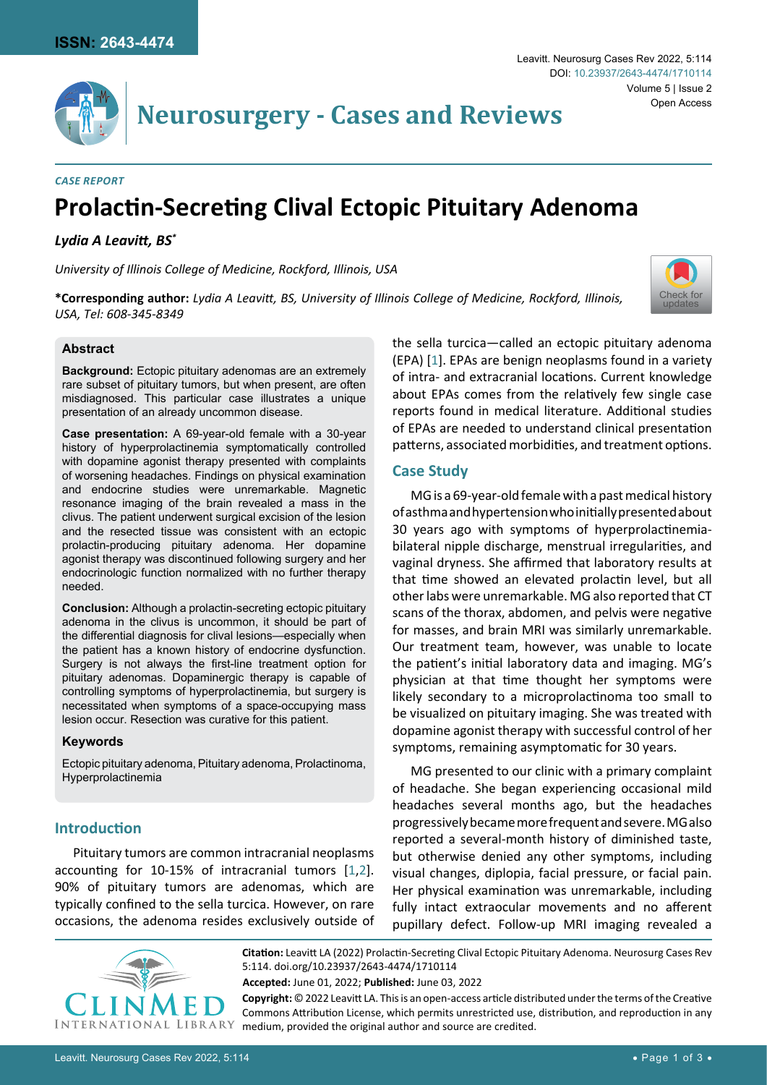

# **Neurosurgery - Cases and Reviews**

#### *Case Report*

# **Prolactin-Secreting Clival Ectopic Pituitary Adenoma**

#### *Lydia A Leavitt, BS\**

*University of Illinois College of Medicine, Rockford, Illinois, USA*

**\*Corresponding author:** *Lydia A Leavitt, BS, University of Illinois College of Medicine, Rockford, Illinois, USA, Tel: 608-345-8349*

#### **Abstract**

**Background:** Ectopic pituitary adenomas are an extremely rare subset of pituitary tumors, but when present, are often misdiagnosed. This particular case illustrates a unique presentation of an already uncommon disease.

**Case presentation:** A 69-year-old female with a 30-year history of hyperprolactinemia symptomatically controlled with dopamine agonist therapy presented with complaints of worsening headaches. Findings on physical examination and endocrine studies were unremarkable. Magnetic resonance imaging of the brain revealed a mass in the clivus. The patient underwent surgical excision of the lesion and the resected tissue was consistent with an ectopic prolactin-producing pituitary adenoma. Her dopamine agonist therapy was discontinued following surgery and her endocrinologic function normalized with no further therapy needed.

**Conclusion:** Although a prolactin-secreting ectopic pituitary adenoma in the clivus is uncommon, it should be part of the differential diagnosis for clival lesions—especially when the patient has a known history of endocrine dysfunction. Surgery is not always the first-line treatment option for pituitary adenomas. Dopaminergic therapy is capable of controlling symptoms of hyperprolactinemia, but surgery is necessitated when symptoms of a space-occupying mass lesion occur. Resection was curative for this patient.

#### **Keywords**

Ectopic pituitary adenoma, Pituitary adenoma, Prolactinoma, Hyperprolactinemia

#### **Introduction**

Pituitary tumors are common intracranial neoplasms accounting for 10-15% of intracranial tumors [[1](#page-2-0),[2](#page-2-1)]. 90% of pituitary tumors are adenomas, which are typically confined to the sella turcica. However, on rare occasions, the adenoma resides exclusively outside of the sella turcica—called an ectopic pituitary adenoma (EPA) [[1](#page-2-0)]. EPAs are benign neoplasms found in a variety of intra- and extracranial locations. Current knowledge about EPAs comes from the relatively few single case reports found in medical literature. Additional studies of EPAs are needed to understand clinical presentation patterns, associated morbidities, and treatment options.

#### **Case Study**

MG is a 69-year-old female with a past medical history of asthma and hypertension who initially presented about 30 years ago with symptoms of hyperprolactinemiabilateral nipple discharge, menstrual irregularities, and vaginal dryness. She affirmed that laboratory results at that time showed an elevated prolactin level, but all other labs were unremarkable. MG also reported that CT scans of the thorax, abdomen, and pelvis were negative for masses, and brain MRI was similarly unremarkable. Our treatment team, however, was unable to locate the patient's initial laboratory data and imaging. MG's physician at that time thought her symptoms were likely secondary to a microprolactinoma too small to be visualized on pituitary imaging. She was treated with dopamine agonist therapy with successful control of her symptoms, remaining asymptomatic for 30 years.

MG presented to our clinic with a primary complaint of headache. She began experiencing occasional mild headaches several months ago, but the headaches progressively became more frequent and severe. MG also reported a several-month history of diminished taste, but otherwise denied any other symptoms, including visual changes, diplopia, facial pressure, or facial pain. Her physical examination was unremarkable, including fully intact extraocular movements and no afferent pupillary defect. Follow-up MRI imaging revealed a



**Citation:** Leavitt LA (2022) Prolactin-Secreting Clival Ectopic Pituitary Adenoma. Neurosurg Cases Rev 5:114. [doi.org/10.23937/2643-4474/1710114](https://doi.org/10.23937/2643-4474/1710114) **Accepted:** June 01, 2022; **Published:** June 03, 2022 **Copyright:** © 2022 Leavitt LA. This is an open-access article distributed under the terms of the Creative

Commons Attribution License, which permits unrestricted use, distribution, and reproduction in any medium, provided the original author and source are credited.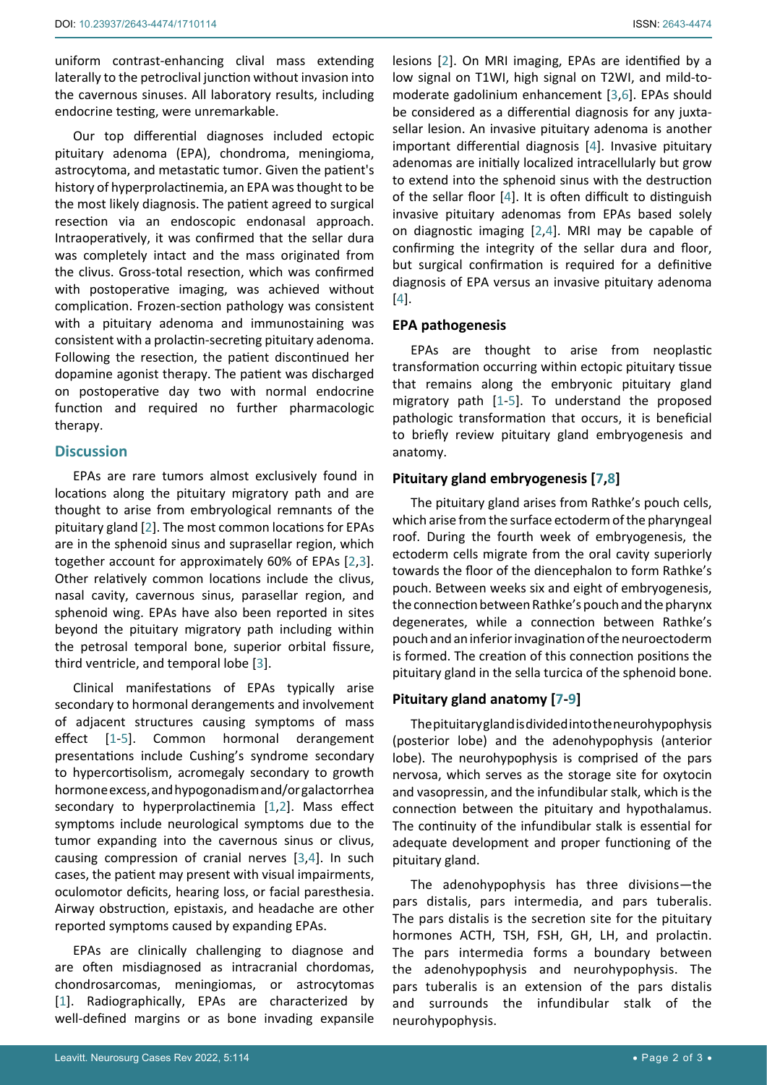uniform contrast-enhancing clival mass extending laterally to the petroclival junction without invasion into the cavernous sinuses. All laboratory results, including endocrine testing, were unremarkable.

Our top differential diagnoses included ectopic pituitary adenoma (EPA), chondroma, meningioma, astrocytoma, and metastatic tumor. Given the patient's history of hyperprolactinemia, an EPA was thought to be the most likely diagnosis. The patient agreed to surgical resection via an endoscopic endonasal approach. Intraoperatively, it was confirmed that the sellar dura was completely intact and the mass originated from the clivus. Gross-total resection, which was confirmed with postoperative imaging, was achieved without complication. Frozen-section pathology was consistent with a pituitary adenoma and immunostaining was consistent with a prolactin-secreting pituitary adenoma. Following the resection, the patient discontinued her dopamine agonist therapy. The patient was discharged on postoperative day two with normal endocrine function and required no further pharmacologic therapy.

#### **Discussion**

EPAs are rare tumors almost exclusively found in locations along the pituitary migratory path and are thought to arise from embryological remnants of the pituitary gland [[2](#page-2-1)]. The most common locations for EPAs are in the sphenoid sinus and suprasellar region, which together account for approximately 60% of EPAs [[2](#page-2-1),[3](#page-2-2)]. Other relatively common locations include the clivus, nasal cavity, cavernous sinus, parasellar region, and sphenoid wing. EPAs have also been reported in sites beyond the pituitary migratory path including within the petrosal temporal bone, superior orbital fissure, third ventricle, and temporal lobe [\[3\]](#page-2-2).

Clinical manifestations of EPAs typically arise secondary to hormonal derangements and involvement of adjacent structures causing symptoms of mass effect [[1](#page-2-0)-[5](#page-2-5)]. Common hormonal derangement presentations include Cushing's syndrome secondary to hypercortisolism, acromegaly secondary to growth hormone excess, and hypogonadism and/or galactorrhea secondary to hyperprolactinemia [[1](#page-2-0),[2](#page-2-1)]. Mass effect symptoms include neurological symptoms due to the tumor expanding into the cavernous sinus or clivus, causing compression of cranial nerves [\[3,](#page-2-2)[4](#page-2-4)]. In such cases, the patient may present with visual impairments, oculomotor deficits, hearing loss, or facial paresthesia. Airway obstruction, epistaxis, and headache are other reported symptoms caused by expanding EPAs.

EPAs are clinically challenging to diagnose and are often misdiagnosed as intracranial chordomas, chondrosarcomas, meningiomas, or astrocytomas [[1](#page-2-0)]. Radiographically, EPAs are characterized by well-defined margins or as bone invading expansile

lesions [\[2\]](#page-2-1). On MRI imaging, EPAs are identified by a low signal on T1WI, high signal on T2WI, and mild-tomoderate gadolinium enhancement [\[3,](#page-2-2)[6](#page-2-3)]. EPAs should be considered as a differential diagnosis for any juxtasellar lesion. An invasive pituitary adenoma is another important differential diagnosis [[4](#page-2-4)]. Invasive pituitary adenomas are initially localized intracellularly but grow to extend into the sphenoid sinus with the destruction of the sellar floor [[4](#page-2-4)]. It is often difficult to distinguish invasive pituitary adenomas from EPAs based solely on diagnostic imaging [\[2,](#page-2-1)[4](#page-2-4)]. MRI may be capable of confirming the integrity of the sellar dura and floor, but surgical confirmation is required for a definitive diagnosis of EPA versus an invasive pituitary adenoma [[4](#page-2-4)].

#### **EPA pathogenesis**

EPAs are thought to arise from neoplastic transformation occurring within ectopic pituitary tissue that remains along the embryonic pituitary gland migratory path [[1](#page-2-0)-[5](#page-2-5)]. To understand the proposed pathologic transformation that occurs, it is beneficial to briefly review pituitary gland embryogenesis and anatomy.

# **Pituitary gland embryogenesis [[7,](#page-2-6)[8\]](#page-2-7)**

The pituitary gland arises from Rathke's pouch cells, which arise from the surface ectoderm of the pharyngeal roof. During the fourth week of embryogenesis, the ectoderm cells migrate from the oral cavity superiorly towards the floor of the diencephalon to form Rathke's pouch. Between weeks six and eight of embryogenesis, the connection between Rathke's pouch and the pharynx degenerates, while a connection between Rathke's pouch and an inferior invagination of the neuroectoderm is formed. The creation of this connection positions the pituitary gland in the sella turcica of the sphenoid bone.

# **Pituitary gland anatomy [[7](#page-2-6)-[9](#page-2-8)]**

The pituitary gland is divided into the neurohypophysis (posterior lobe) and the adenohypophysis (anterior lobe). The neurohypophysis is comprised of the pars nervosa, which serves as the storage site for oxytocin and vasopressin, and the infundibular stalk, which is the connection between the pituitary and hypothalamus. The continuity of the infundibular stalk is essential for adequate development and proper functioning of the pituitary gland.

The adenohypophysis has three divisions—the pars distalis, pars intermedia, and pars tuberalis. The pars distalis is the secretion site for the pituitary hormones ACTH, TSH, FSH, GH, LH, and prolactin. The pars intermedia forms a boundary between the adenohypophysis and neurohypophysis. The pars tuberalis is an extension of the pars distalis and surrounds the infundibular stalk of the neurohypophysis.